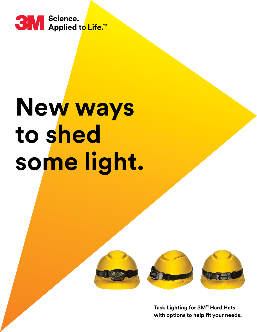

# **New ways to shed some light.**



**Task Lighting for 3M™ Hard Hats with options to help fit your needs.**